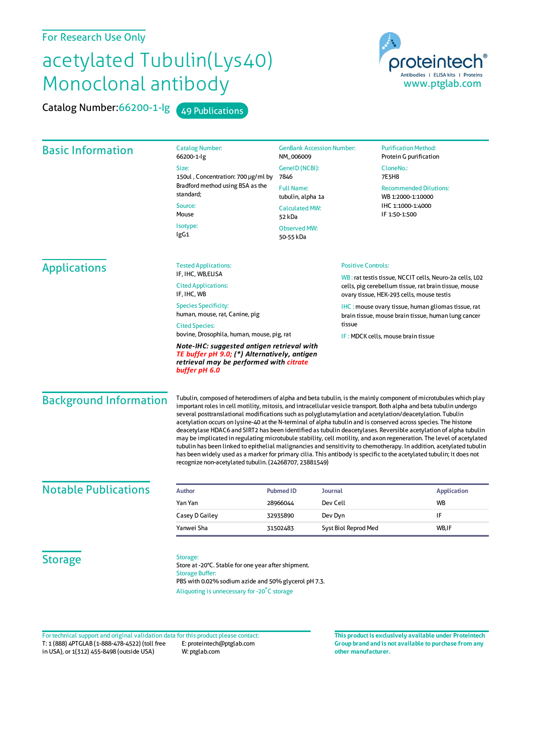## For Research Use Only

## acetylated Tubulin(Lys40) Monoclonal antibody

Catalog Number: 66200-1-lg 49 Publications



| <b>Basic Information</b>      | <b>Catalog Number:</b><br><b>GenBank Accession Number:</b><br>66200-1-lg<br>NM_006009                                                                                                                                                                                                                                                                                                                                                                                                                                                                                                                                                                                                                                                                                                                                                                                                                                                                                                                                      |                                        | <b>Purification Method:</b><br>Protein G purification                                                                                                         |  |  |
|-------------------------------|----------------------------------------------------------------------------------------------------------------------------------------------------------------------------------------------------------------------------------------------------------------------------------------------------------------------------------------------------------------------------------------------------------------------------------------------------------------------------------------------------------------------------------------------------------------------------------------------------------------------------------------------------------------------------------------------------------------------------------------------------------------------------------------------------------------------------------------------------------------------------------------------------------------------------------------------------------------------------------------------------------------------------|----------------------------------------|---------------------------------------------------------------------------------------------------------------------------------------------------------------|--|--|
|                               | Size:<br>150ul, Concentration: 700 µg/ml by<br>Bradford method using BSA as the<br>standard;<br>Source:<br>Mouse                                                                                                                                                                                                                                                                                                                                                                                                                                                                                                                                                                                                                                                                                                                                                                                                                                                                                                           | GeneID (NCBI):<br>7846                 | CloneNo.:<br>7E5H8                                                                                                                                            |  |  |
|                               |                                                                                                                                                                                                                                                                                                                                                                                                                                                                                                                                                                                                                                                                                                                                                                                                                                                                                                                                                                                                                            | <b>Full Name:</b><br>tubulin, alpha 1a | <b>Recommended Dilutions:</b><br>WB 1:2000-1:10000                                                                                                            |  |  |
|                               |                                                                                                                                                                                                                                                                                                                                                                                                                                                                                                                                                                                                                                                                                                                                                                                                                                                                                                                                                                                                                            | <b>Calculated MW:</b><br>52 kDa        | IHC 1:1000-1:4000<br>IF 1:50-1:500                                                                                                                            |  |  |
|                               | Isotype:<br>IgG1                                                                                                                                                                                                                                                                                                                                                                                                                                                                                                                                                                                                                                                                                                                                                                                                                                                                                                                                                                                                           | <b>Observed MW:</b><br>50-55 kDa       |                                                                                                                                                               |  |  |
| <b>Applications</b>           | <b>Tested Applications:</b><br>IF, IHC, WB, ELISA                                                                                                                                                                                                                                                                                                                                                                                                                                                                                                                                                                                                                                                                                                                                                                                                                                                                                                                                                                          |                                        | <b>Positive Controls:</b>                                                                                                                                     |  |  |
|                               | <b>Cited Applications:</b><br>IF, IHC, WB                                                                                                                                                                                                                                                                                                                                                                                                                                                                                                                                                                                                                                                                                                                                                                                                                                                                                                                                                                                  |                                        | WB: rat testis tissue, NCCIT cells, Neuro-2a cells, LO2<br>cells, pig cerebellum tissue, rat brain tissue, mouse<br>ovary tissue, HEK-293 cells, mouse testis |  |  |
|                               | <b>Species Specificity:</b><br>human, mouse, rat, Canine, pig                                                                                                                                                                                                                                                                                                                                                                                                                                                                                                                                                                                                                                                                                                                                                                                                                                                                                                                                                              |                                        | IHC: mouse ovary tissue, human gliomas tissue, rat<br>brain tissue, mouse brain tissue, human lung cancer                                                     |  |  |
|                               | <b>Cited Species:</b><br>bovine, Drosophila, human, mouse, pig, rat                                                                                                                                                                                                                                                                                                                                                                                                                                                                                                                                                                                                                                                                                                                                                                                                                                                                                                                                                        |                                        | tissue<br>IF: MDCK cells, mouse brain tissue                                                                                                                  |  |  |
|                               | Note-IHC: suggested antigen retrieval with<br>TE buffer pH 9.0; (*) Alternatively, antigen<br>retrieval may be performed with citrate<br>buffer pH 6.0                                                                                                                                                                                                                                                                                                                                                                                                                                                                                                                                                                                                                                                                                                                                                                                                                                                                     |                                        |                                                                                                                                                               |  |  |
| <b>Background Information</b> | Tubulin, composed of heterodimers of alpha and beta tubulin, is the mainly component of microtubules which play<br>important roles in cell motility, mitosis, and intracellular vesicle transport. Both alpha and beta tubulin undergo<br>several posttranslational modifications such as polyglutamylation and acetylation/deacetylation. Tubulin<br>acetylation occurs on lysine-40 at the N-terminal of alpha tubulin and is conserved across species. The histone<br>deacetylase HDAC6 and SIRT2 has been identified as tubulin deacetylases. Reversible acetylation of alpha tubulin<br>may be implicated in regulating microtubule stability, cell motility, and axon regeneration. The level of acetylated<br>tubulin has been linked to epithelial malignancies and sensitivity to chemotherapy. In addition, acetylated tubulin<br>has been widely used as a marker for primary cilia. This antibody is specific to the acetylated tubulin; it does not<br>recognize non-acetylated tubulin. (24268707, 23881549) |                                        |                                                                                                                                                               |  |  |

| <b>Notable Publications</b> | <b>Author</b>  | <b>Pubmed ID</b> | <b>Journal</b>       | Application |
|-----------------------------|----------------|------------------|----------------------|-------------|
|                             | Yan Yan        | 28966044         | Dev Cell             | <b>WB</b>   |
|                             | Casey D Gailey | 32935890         | Dev Dyn              | IF          |
|                             | Yanwei Sha     | 31502483         | Syst Biol Reprod Med | WB,IF       |
|                             |                |                  |                      |             |
|                             | $\sim$         |                  |                      |             |

**Storage** 

## Storage:

Store at -20°C. Stable for one year after shipment. Storage Buffer: PBS with 0.02% sodium azide and 50% glycerol pH 7.3. Aliquoting is unnecessary for -20<sup>°</sup>C storage

T: 1 (888) 4PTGLAB (1-888-478-4522) (toll free in USA), or 1(312) 455-8498 (outside USA) E: proteintech@ptglab.com W: ptglab.com Fortechnical support and original validation data forthis product please contact: **This productis exclusively available under Proteintech**

**Group brand and is not available to purchase from any other manufacturer.**